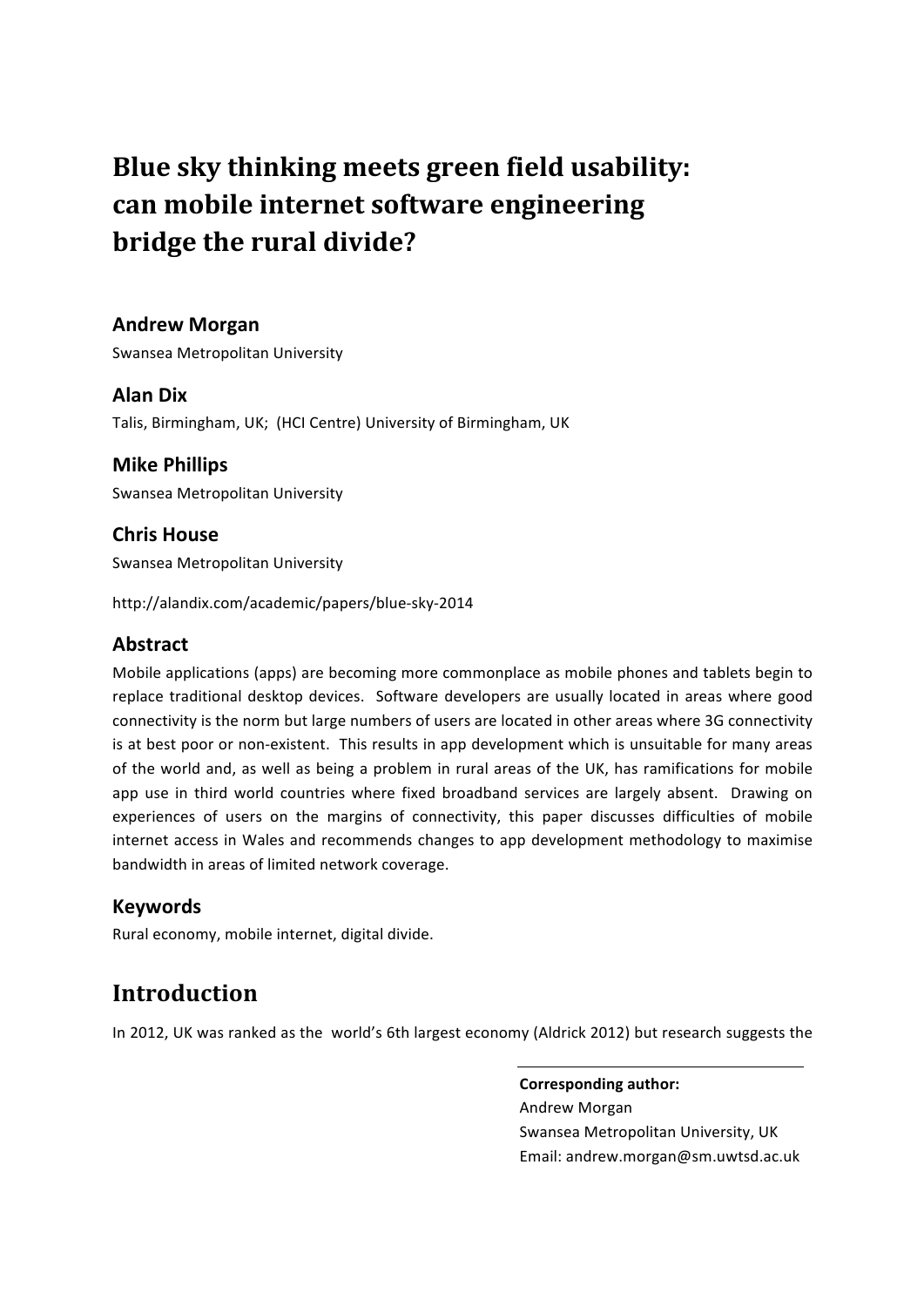# Blue sky thinking meets green field usability: can mobile internet software engineering **bridge the rural divide?**

#### **Andrew Morgan**

Swansea Metropolitan University

#### **Alan Dix**

Talis, Birmingham, UK; (HCI Centre) University of Birmingham, UK

## **Mike Phillips**

Swansea Metropolitan University

### **Chris House**

Swansea Metropolitan University

http://alandix.com/academic/papers/blue-sky-2014

## **Abstract**

Mobile applications (apps) are becoming more commonplace as mobile phones and tablets begin to replace traditional desktop devices. Software developers are usually located in areas where good connectivity is the norm but large numbers of users are located in other areas where 3G connectivity is at best poor or non-existent. This results in app development which is unsuitable for many areas of the world and, as well as being a problem in rural areas of the UK, has ramifications for mobile app use in third world countries where fixed broadband services are largely absent. Drawing on experiences of users on the margins of connectivity, this paper discusses difficulties of mobile internet access in Wales and recommends changes to app development methodology to maximise bandwidth in areas of limited network coverage.

### **Keywords**

Rural economy, mobile internet, digital divide.

## **Introduction**

In 2012, UK was ranked as the world's 6th largest economy (Aldrick 2012) but research suggests the

#### **Corresponding author:**

Andrew Morgan Swansea Metropolitan University, UK Email: andrew.morgan@sm.uwtsd.ac.uk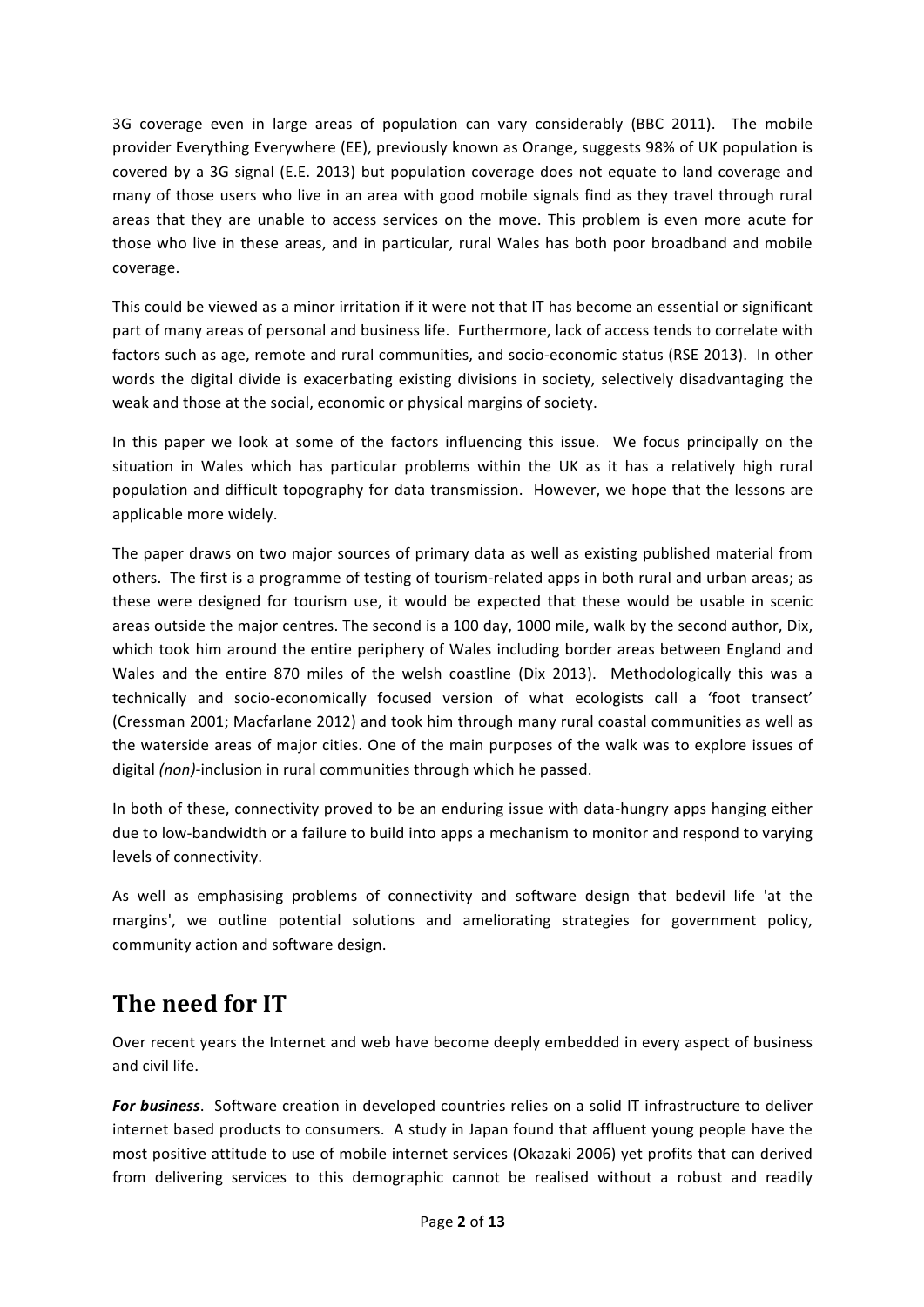3G coverage even in large areas of population can vary considerably (BBC 2011). The mobile provider Everything Everywhere (EE), previously known as Orange, suggests 98% of UK population is covered by a 3G signal (E.E. 2013) but population coverage does not equate to land coverage and many of those users who live in an area with good mobile signals find as they travel through rural areas that they are unable to access services on the move. This problem is even more acute for those who live in these areas, and in particular, rural Wales has both poor broadband and mobile coverage. 

This could be viewed as a minor irritation if it were not that IT has become an essential or significant part of many areas of personal and business life. Furthermore, lack of access tends to correlate with factors such as age, remote and rural communities, and socio-economic status (RSE 2013). In other words the digital divide is exacerbating existing divisions in society, selectively disadvantaging the weak and those at the social, economic or physical margins of society.

In this paper we look at some of the factors influencing this issue. We focus principally on the situation in Wales which has particular problems within the UK as it has a relatively high rural population and difficult topography for data transmission. However, we hope that the lessons are applicable more widely.

The paper draws on two major sources of primary data as well as existing published material from others. The first is a programme of testing of tourism-related apps in both rural and urban areas; as these were designed for tourism use, it would be expected that these would be usable in scenic areas outside the major centres. The second is a 100 day, 1000 mile, walk by the second author, Dix, which took him around the entire periphery of Wales including border areas between England and Wales and the entire 870 miles of the welsh coastline (Dix 2013). Methodologically this was a technically and socio-economically focused version of what ecologists call a 'foot transect' (Cressman 2001; Macfarlane 2012) and took him through many rural coastal communities as well as the waterside areas of major cities. One of the main purposes of the walk was to explore issues of digital (non)-inclusion in rural communities through which he passed.

In both of these, connectivity proved to be an enduring issue with data-hungry apps hanging either due to low-bandwidth or a failure to build into apps a mechanism to monitor and respond to varying levels of connectivity.

As well as emphasising problems of connectivity and software design that bedevil life 'at the margins', we outline potential solutions and ameliorating strategies for government policy, community action and software design.

## **The need for IT**

Over recent years the Internet and web have become deeply embedded in every aspect of business and civil life.

For business. Software creation in developed countries relies on a solid IT infrastructure to deliver internet based products to consumers. A study in Japan found that affluent young people have the most positive attitude to use of mobile internet services (Okazaki 2006) yet profits that can derived from delivering services to this demographic cannot be realised without a robust and readily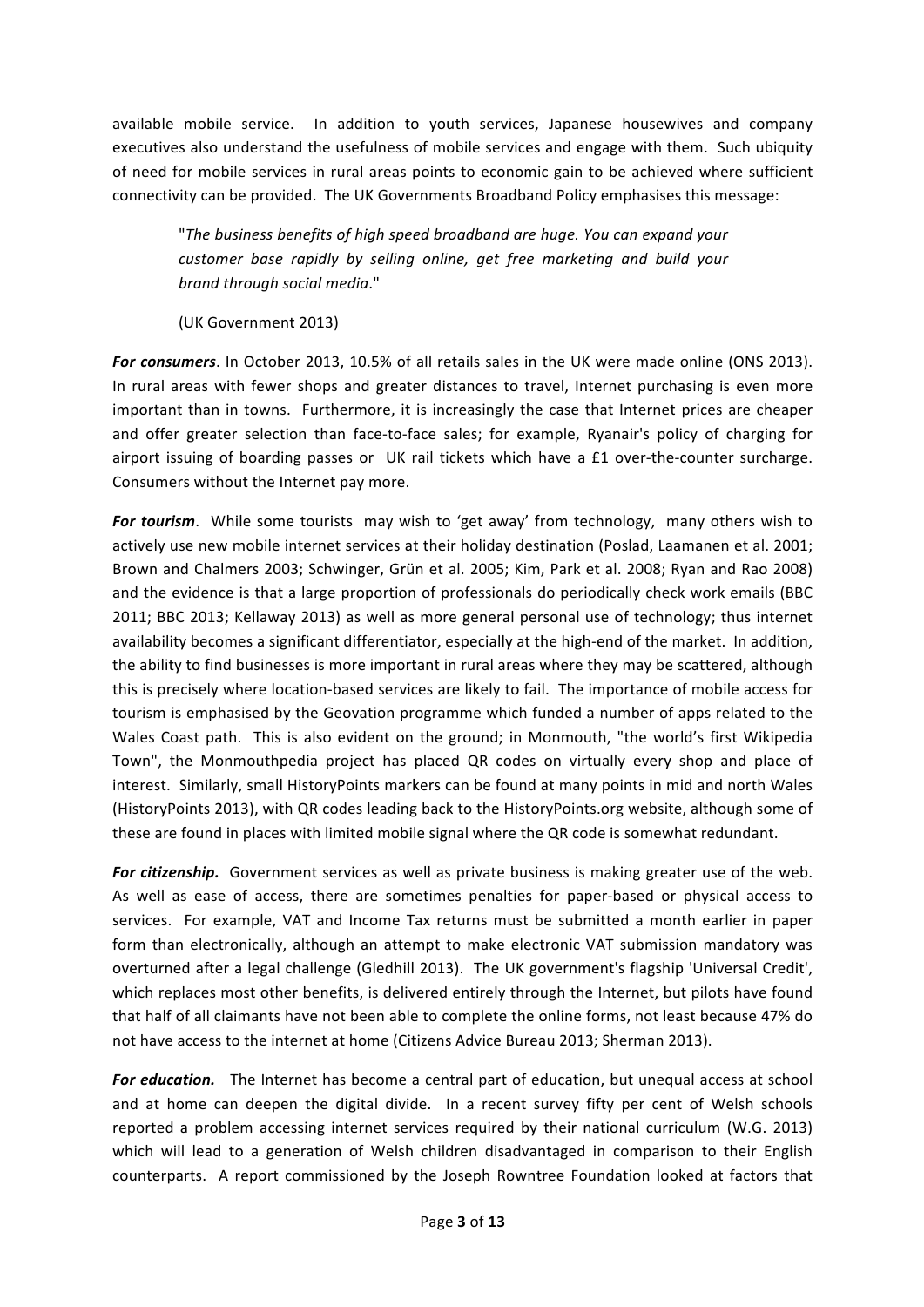available mobile service. In addition to youth services, Japanese housewives and company executives also understand the usefulness of mobile services and engage with them. Such ubiquity of need for mobile services in rural areas points to economic gain to be achieved where sufficient connectivity can be provided. The UK Governments Broadband Policy emphasises this message:

"The business benefits of high speed broadband are huge. You can expand your customer base rapidly by selling online, get free marketing and build your *brand through social media*."

(UK Government 2013)

For consumers. In October 2013, 10.5% of all retails sales in the UK were made online (ONS 2013). In rural areas with fewer shops and greater distances to travel, Internet purchasing is even more important than in towns. Furthermore, it is increasingly the case that Internet prices are cheaper and offer greater selection than face-to-face sales; for example, Ryanair's policy of charging for airport issuing of boarding passes or  $UK$  rail tickets which have a £1 over-the-counter surcharge. Consumers without the Internet pay more.

**For tourism.** While some tourists may wish to 'get away' from technology, many others wish to actively use new mobile internet services at their holiday destination (Poslad, Laamanen et al. 2001; Brown and Chalmers 2003; Schwinger, Grün et al. 2005; Kim, Park et al. 2008; Ryan and Rao 2008) and the evidence is that a large proportion of professionals do periodically check work emails (BBC 2011; BBC 2013; Kellaway 2013) as well as more general personal use of technology; thus internet availability becomes a significant differentiator, especially at the high-end of the market. In addition, the ability to find businesses is more important in rural areas where they may be scattered, although this is precisely where location-based services are likely to fail. The importance of mobile access for tourism is emphasised by the Geovation programme which funded a number of apps related to the Wales Coast path. This is also evident on the ground; in Monmouth, "the world's first Wikipedia Town", the Monmouthpedia project has placed QR codes on virtually every shop and place of interest. Similarly, small HistoryPoints markers can be found at many points in mid and north Wales (HistoryPoints 2013), with QR codes leading back to the HistoryPoints.org website, although some of these are found in places with limited mobile signal where the QR code is somewhat redundant.

For citizenship. Government services as well as private business is making greater use of the web. As well as ease of access, there are sometimes penalties for paper-based or physical access to services. For example, VAT and Income Tax returns must be submitted a month earlier in paper form than electronically, although an attempt to make electronic VAT submission mandatory was overturned after a legal challenge (Gledhill 2013). The UK government's flagship 'Universal Credit', which replaces most other benefits, is delivered entirely through the Internet, but pilots have found that half of all claimants have not been able to complete the online forms, not least because 47% do not have access to the internet at home (Citizens Advice Bureau 2013; Sherman 2013).

**For education.** The Internet has become a central part of education, but unequal access at school and at home can deepen the digital divide. In a recent survey fifty per cent of Welsh schools reported a problem accessing internet services required by their national curriculum (W.G. 2013) which will lead to a generation of Welsh children disadvantaged in comparison to their English counterparts. A report commissioned by the Joseph Rowntree Foundation looked at factors that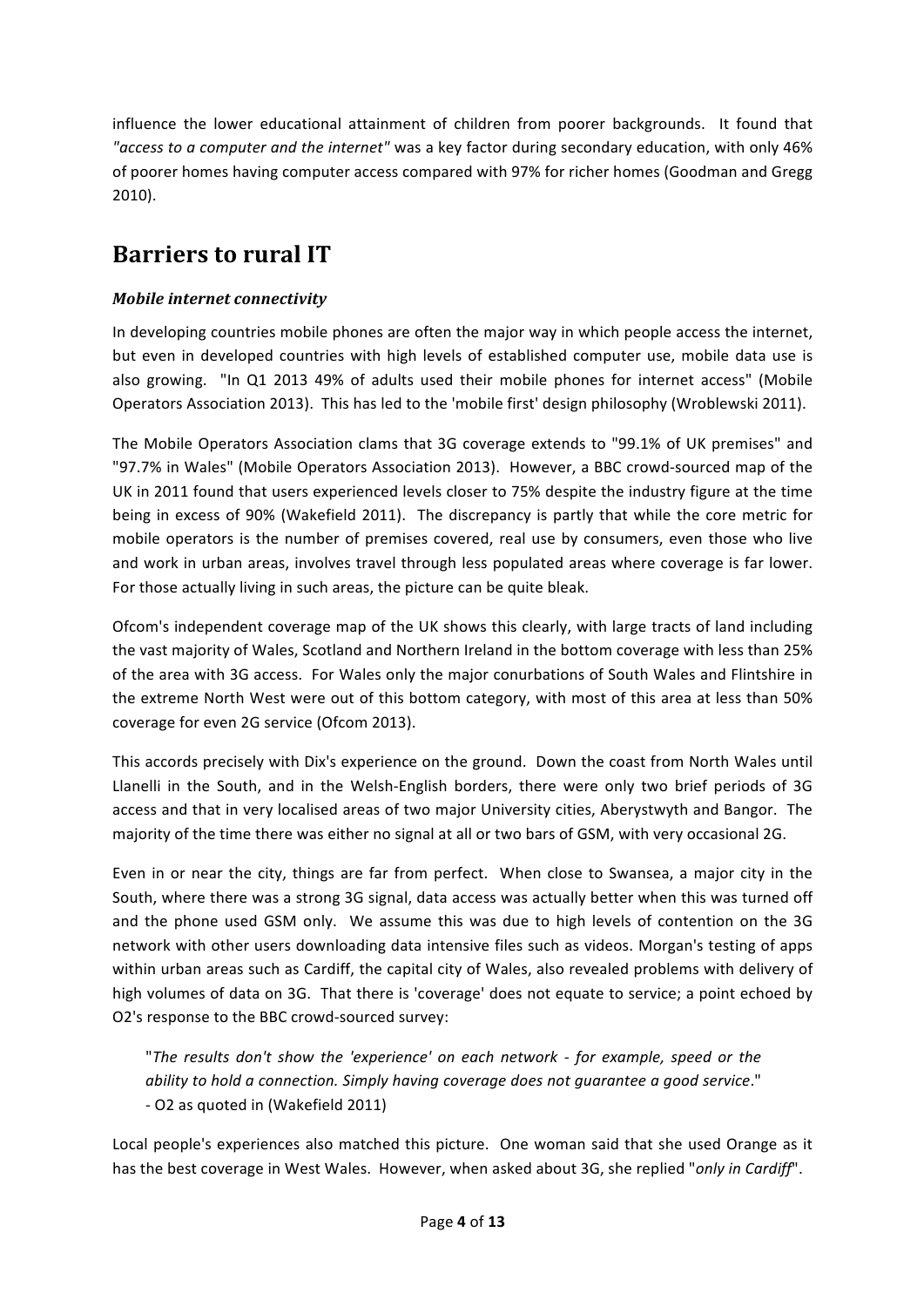influence the lower educational attainment of children from poorer backgrounds. It found that "access to a computer and the internet" was a key factor during secondary education, with only 46% of poorer homes having computer access compared with 97% for richer homes (Goodman and Gregg 2010).

# **Barriers to rural IT**

#### *Mobile internet connectivity*

In developing countries mobile phones are often the major way in which people access the internet, but even in developed countries with high levels of established computer use, mobile data use is also growing. "In Q1 2013 49% of adults used their mobile phones for internet access" (Mobile Operators Association 2013). This has led to the 'mobile first' design philosophy (Wroblewski 2011).

The Mobile Operators Association clams that 3G coverage extends to "99.1% of UK premises" and "97.7% in Wales" (Mobile Operators Association 2013). However, a BBC crowd-sourced map of the UK in 2011 found that users experienced levels closer to 75% despite the industry figure at the time being in excess of 90% (Wakefield 2011). The discrepancy is partly that while the core metric for mobile operators is the number of premises covered, real use by consumers, even those who live and work in urban areas, involves travel through less populated areas where coverage is far lower. For those actually living in such areas, the picture can be quite bleak.

Ofcom's independent coverage map of the UK shows this clearly, with large tracts of land including the vast majority of Wales, Scotland and Northern Ireland in the bottom coverage with less than 25% of the area with 3G access. For Wales only the major conurbations of South Wales and Flintshire in the extreme North West were out of this bottom category, with most of this area at less than 50% coverage for even 2G service (Ofcom 2013).

This accords precisely with Dix's experience on the ground. Down the coast from North Wales until Llanelli in the South, and in the Welsh-English borders, there were only two brief periods of 3G access and that in very localised areas of two major University cities, Aberystwyth and Bangor. The majority of the time there was either no signal at all or two bars of GSM, with very occasional 2G.

Even in or near the city, things are far from perfect. When close to Swansea, a major city in the South, where there was a strong 3G signal, data access was actually better when this was turned off and the phone used GSM only. We assume this was due to high levels of contention on the 3G network with other users downloading data intensive files such as videos. Morgan's testing of apps within urban areas such as Cardiff, the capital city of Wales, also revealed problems with delivery of high volumes of data on 3G. That there is 'coverage' does not equate to service; a point echoed by O2's response to the BBC crowd-sourced survey:

"The results don't show the 'experience' on each network - for example, speed or the *ability* to hold a connection. Simply having coverage does not quarantee a good service." - O2 as quoted in (Wakefield 2011)

Local people's experiences also matched this picture. One woman said that she used Orange as it has the best coverage in West Wales. However, when asked about 3G, she replied "only in Cardiff".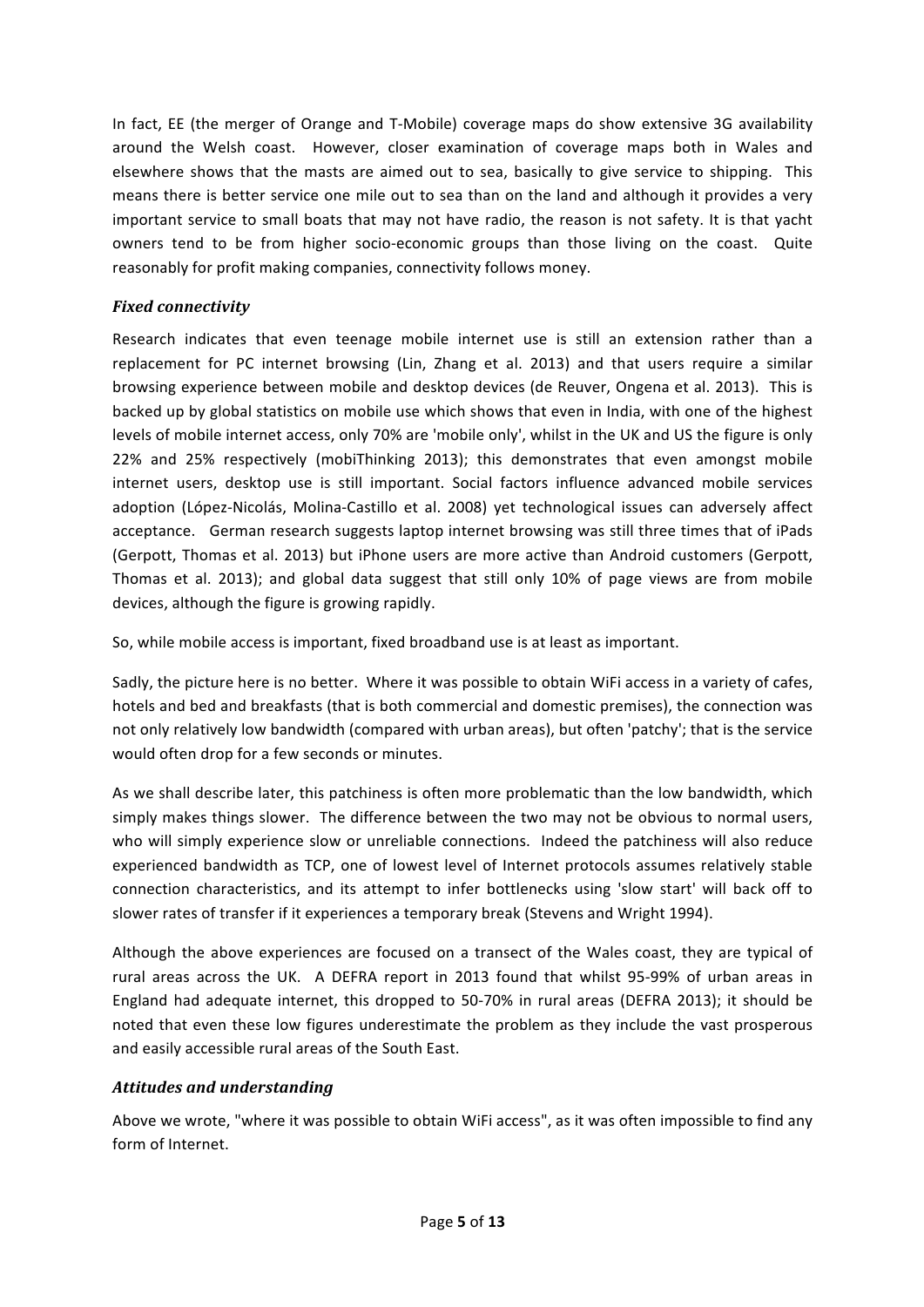In fact, EE (the merger of Orange and T-Mobile) coverage maps do show extensive 3G availability around the Welsh coast. However, closer examination of coverage maps both in Wales and elsewhere shows that the masts are aimed out to sea, basically to give service to shipping. This means there is better service one mile out to sea than on the land and although it provides a very important service to small boats that may not have radio, the reason is not safety. It is that yacht owners tend to be from higher socio-economic groups than those living on the coast. Quite reasonably for profit making companies, connectivity follows money.

#### *Fixed connectivity*

Research indicates that even teenage mobile internet use is still an extension rather than a replacement for PC internet browsing (Lin, Zhang et al. 2013) and that users require a similar browsing experience between mobile and desktop devices (de Reuver, Ongena et al. 2013). This is backed up by global statistics on mobile use which shows that even in India, with one of the highest levels of mobile internet access, only 70% are 'mobile only', whilst in the UK and US the figure is only 22% and 25% respectively (mobiThinking 2013); this demonstrates that even amongst mobile internet users, desktop use is still important. Social factors influence advanced mobile services adoption (López-Nicolás, Molina-Castillo et al. 2008) yet technological issues can adversely affect acceptance. German research suggests laptop internet browsing was still three times that of iPads (Gerpott, Thomas et al. 2013) but iPhone users are more active than Android customers (Gerpott, Thomas et al. 2013); and global data suggest that still only 10% of page views are from mobile devices, although the figure is growing rapidly.

So, while mobile access is important, fixed broadband use is at least as important.

Sadly, the picture here is no better. Where it was possible to obtain WiFi access in a variety of cafes, hotels and bed and breakfasts (that is both commercial and domestic premises), the connection was not only relatively low bandwidth (compared with urban areas), but often 'patchy'; that is the service would often drop for a few seconds or minutes.

As we shall describe later, this patchiness is often more problematic than the low bandwidth, which simply makes things slower. The difference between the two may not be obvious to normal users, who will simply experience slow or unreliable connections. Indeed the patchiness will also reduce experienced bandwidth as TCP, one of lowest level of Internet protocols assumes relatively stable connection characteristics, and its attempt to infer bottlenecks using 'slow start' will back off to slower rates of transfer if it experiences a temporary break (Stevens and Wright 1994).

Although the above experiences are focused on a transect of the Wales coast, they are typical of rural areas across the UK. A DEFRA report in 2013 found that whilst 95-99% of urban areas in England had adequate internet, this dropped to 50-70% in rural areas (DEFRA 2013); it should be noted that even these low figures underestimate the problem as they include the vast prosperous and easily accessible rural areas of the South East.

#### *Attitudes and understanding*

Above we wrote, "where it was possible to obtain WiFi access", as it was often impossible to find any form of Internet.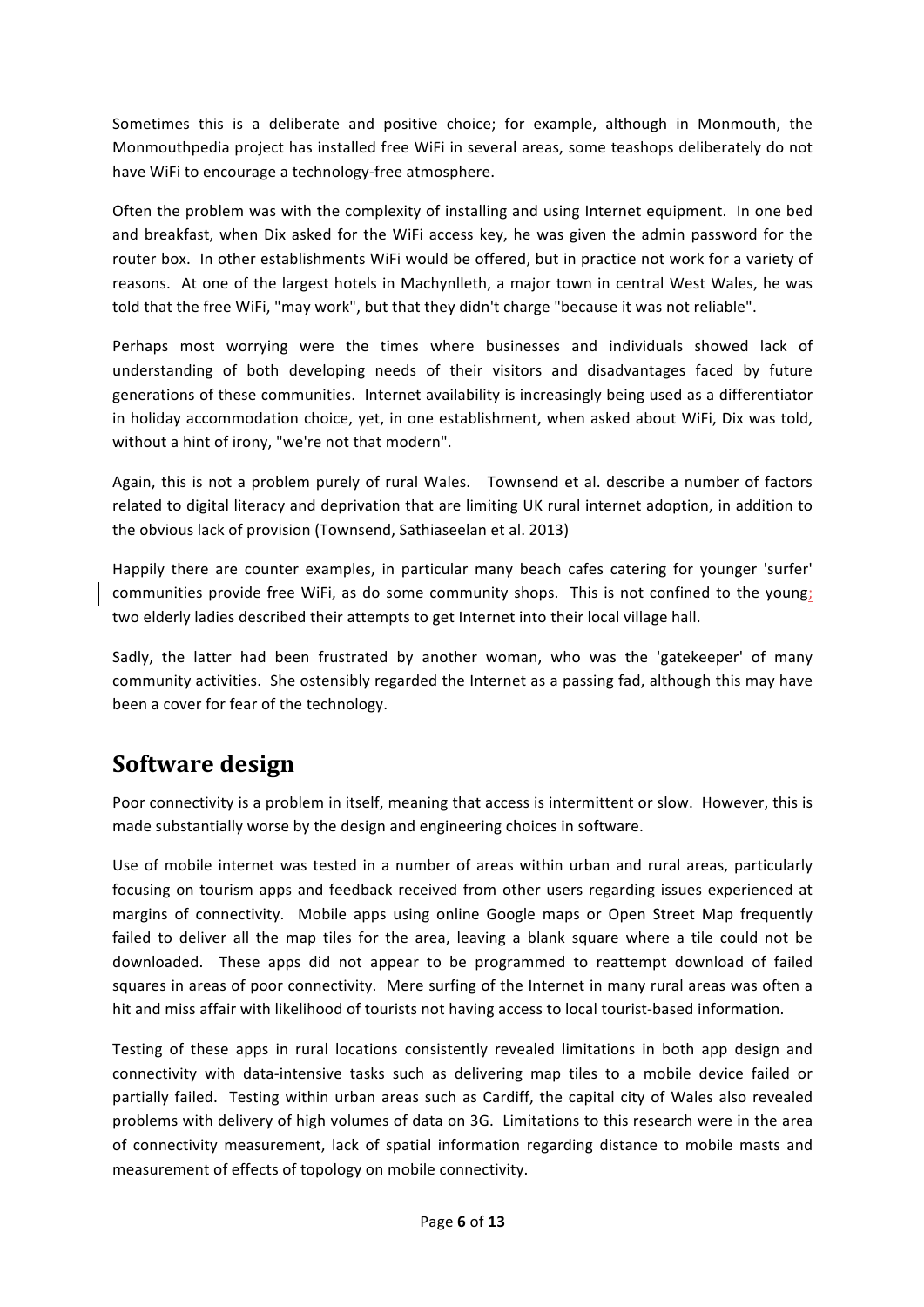Sometimes this is a deliberate and positive choice; for example, although in Monmouth, the Monmouthpedia project has installed free WiFi in several areas, some teashops deliberately do not have WiFi to encourage a technology-free atmosphere.

Often the problem was with the complexity of installing and using Internet equipment. In one bed and breakfast, when Dix asked for the WiFi access key, he was given the admin password for the router box. In other establishments WiFi would be offered, but in practice not work for a variety of reasons. At one of the largest hotels in Machynlleth, a major town in central West Wales, he was told that the free WiFi, "may work", but that they didn't charge "because it was not reliable".

Perhaps most worrying were the times where businesses and individuals showed lack of understanding of both developing needs of their visitors and disadvantages faced by future generations of these communities. Internet availability is increasingly being used as a differentiator in holiday accommodation choice, yet, in one establishment, when asked about WiFi, Dix was told, without a hint of irony, "we're not that modern".

Again, this is not a problem purely of rural Wales. Townsend et al. describe a number of factors related to digital literacy and deprivation that are limiting UK rural internet adoption, in addition to the obvious lack of provision (Townsend, Sathiaseelan et al. 2013)

Happily there are counter examples, in particular many beach cafes catering for younger 'surfer' communities provide free WiFi, as do some community shops. This is not confined to the young; two elderly ladies described their attempts to get Internet into their local village hall.

Sadly, the latter had been frustrated by another woman, who was the 'gatekeeper' of many community activities. She ostensibly regarded the Internet as a passing fad, although this may have been a cover for fear of the technology.

# **Software design**

Poor connectivity is a problem in itself, meaning that access is intermittent or slow. However, this is made substantially worse by the design and engineering choices in software.

Use of mobile internet was tested in a number of areas within urban and rural areas, particularly focusing on tourism apps and feedback received from other users regarding issues experienced at margins of connectivity. Mobile apps using online Google maps or Open Street Map frequently failed to deliver all the map tiles for the area, leaving a blank square where a tile could not be downloaded. These apps did not appear to be programmed to reattempt download of failed squares in areas of poor connectivity. Mere surfing of the Internet in many rural areas was often a hit and miss affair with likelihood of tourists not having access to local tourist-based information.

Testing of these apps in rural locations consistently revealed limitations in both app design and connectivity with data-intensive tasks such as delivering map tiles to a mobile device failed or partially failed. Testing within urban areas such as Cardiff, the capital city of Wales also revealed problems with delivery of high volumes of data on 3G. Limitations to this research were in the area of connectivity measurement, lack of spatial information regarding distance to mobile masts and measurement of effects of topology on mobile connectivity.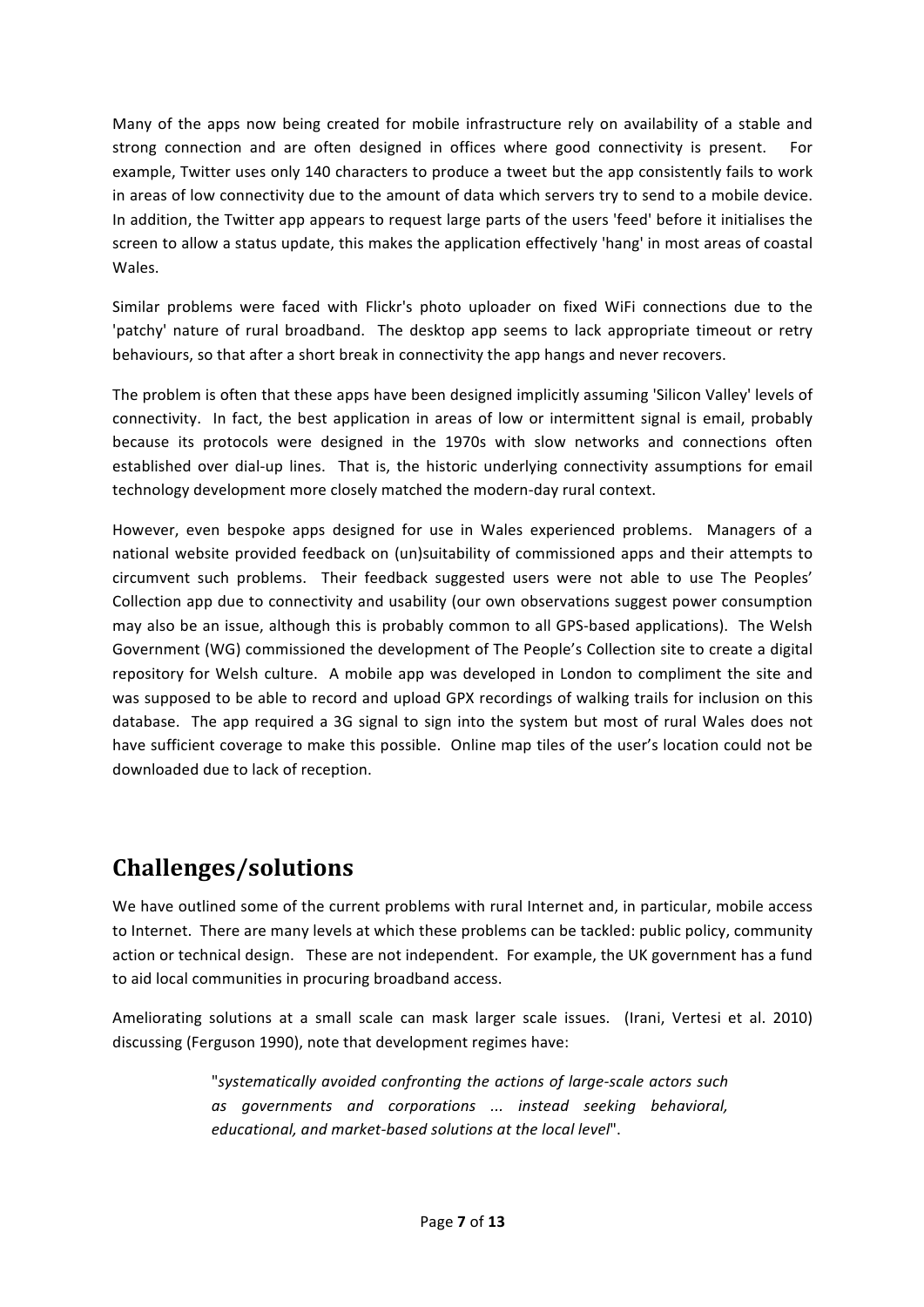Many of the apps now being created for mobile infrastructure rely on availability of a stable and strong connection and are often designed in offices where good connectivity is present. For example, Twitter uses only 140 characters to produce a tweet but the app consistently fails to work in areas of low connectivity due to the amount of data which servers try to send to a mobile device. In addition, the Twitter app appears to request large parts of the users 'feed' before it initialises the screen to allow a status update, this makes the application effectively 'hang' in most areas of coastal Wales.

Similar problems were faced with Flickr's photo uploader on fixed WiFi connections due to the 'patchy' nature of rural broadband. The desktop app seems to lack appropriate timeout or retry behaviours, so that after a short break in connectivity the app hangs and never recovers.

The problem is often that these apps have been designed implicitly assuming 'Silicon Valley' levels of connectivity. In fact, the best application in areas of low or intermittent signal is email, probably because its protocols were designed in the 1970s with slow networks and connections often established over dial-up lines. That is, the historic underlying connectivity assumptions for email technology development more closely matched the modern-day rural context.

However, even bespoke apps designed for use in Wales experienced problems. Managers of a national website provided feedback on (un)suitability of commissioned apps and their attempts to circumvent such problems. Their feedback suggested users were not able to use The Peoples' Collection app due to connectivity and usability (our own observations suggest power consumption may also be an issue, although this is probably common to all GPS-based applications). The Welsh Government (WG) commissioned the development of The People's Collection site to create a digital repository for Welsh culture. A mobile app was developed in London to compliment the site and was supposed to be able to record and upload GPX recordings of walking trails for inclusion on this database. The app required a 3G signal to sign into the system but most of rural Wales does not have sufficient coverage to make this possible. Online map tiles of the user's location could not be downloaded due to lack of reception.

## **Challenges/solutions**

We have outlined some of the current problems with rural Internet and, in particular, mobile access to Internet. There are many levels at which these problems can be tackled: public policy, community action or technical design. These are not independent. For example, the UK government has a fund to aid local communities in procuring broadband access.

Ameliorating solutions at a small scale can mask larger scale issues. (Irani, Vertesi et al. 2010) discussing (Ferguson 1990), note that development regimes have:

> "*systematically avoided confronting the actions of large-scale actors such as governments and corporations ... instead seeking behavioral, educational, and market-based solutions at the local level".*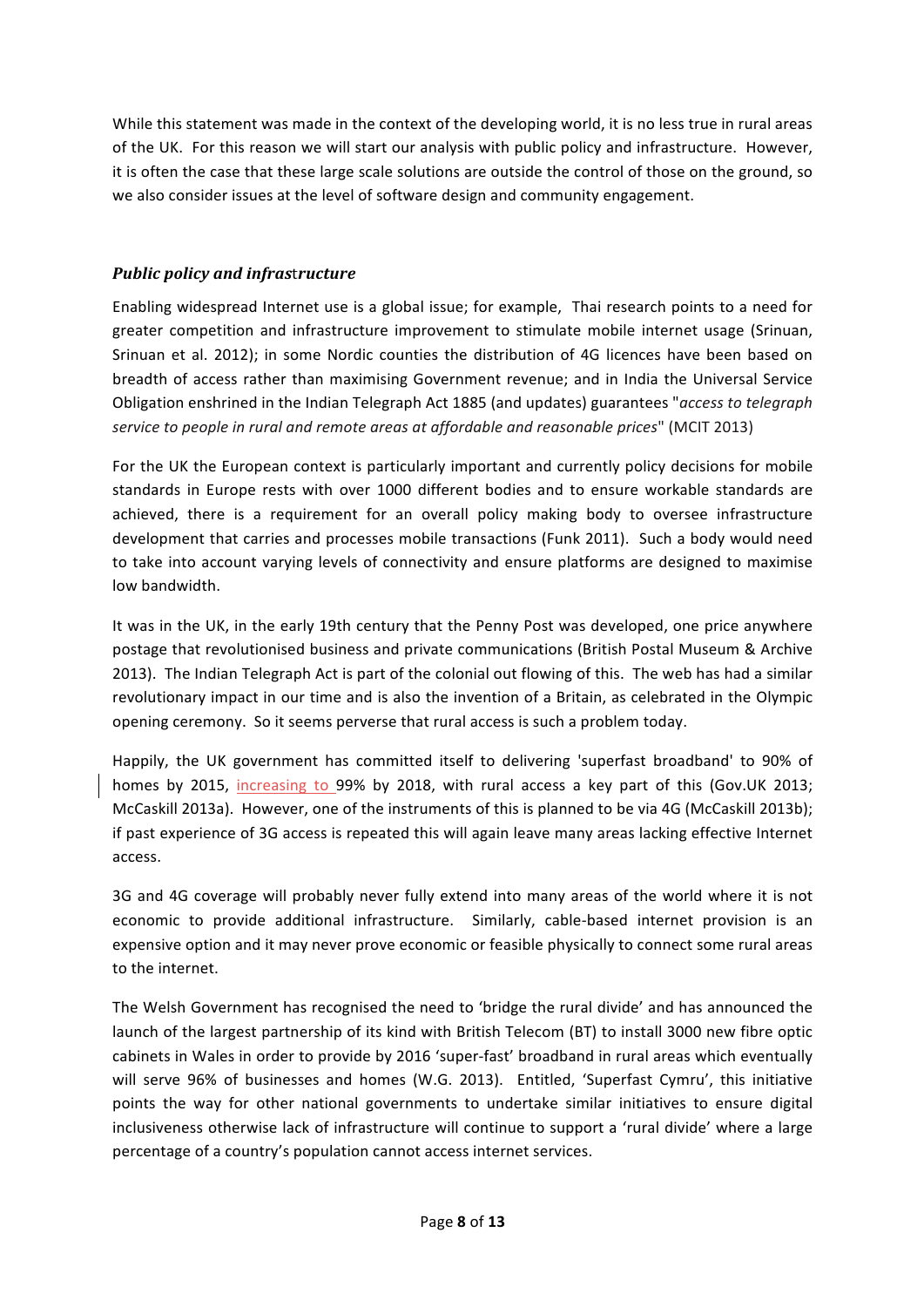While this statement was made in the context of the developing world, it is no less true in rural areas of the UK. For this reason we will start our analysis with public policy and infrastructure. However, it is often the case that these large scale solutions are outside the control of those on the ground, so we also consider issues at the level of software design and community engagement.

#### *Public policy and infras*t*ructure*

Enabling widespread Internet use is a global issue; for example, Thai research points to a need for greater competition and infrastructure improvement to stimulate mobile internet usage (Srinuan, Srinuan et al. 2012); in some Nordic counties the distribution of 4G licences have been based on breadth of access rather than maximising Government revenue; and in India the Universal Service Obligation enshrined in the Indian Telegraph Act 1885 (and updates) guarantees "*access to telegraph* service to people in rural and remote areas at affordable and reasonable prices" (MCIT 2013)

For the UK the European context is particularly important and currently policy decisions for mobile standards in Europe rests with over 1000 different bodies and to ensure workable standards are achieved, there is a requirement for an overall policy making body to oversee infrastructure development that carries and processes mobile transactions (Funk 2011). Such a body would need to take into account varying levels of connectivity and ensure platforms are designed to maximise low bandwidth.

It was in the UK, in the early 19th century that the Penny Post was developed, one price anywhere postage that revolutionised business and private communications (British Postal Museum & Archive 2013). The Indian Telegraph Act is part of the colonial out flowing of this. The web has had a similar revolutionary impact in our time and is also the invention of a Britain, as celebrated in the Olympic opening ceremony. So it seems perverse that rural access is such a problem today.

Happily, the UK government has committed itself to delivering 'superfast broadband' to 90% of homes by 2015, increasing to 99% by 2018, with rural access a key part of this (Gov.UK 2013; McCaskill 2013a). However, one of the instruments of this is planned to be via 4G (McCaskill 2013b); if past experience of 3G access is repeated this will again leave many areas lacking effective Internet access.

3G and 4G coverage will probably never fully extend into many areas of the world where it is not economic to provide additional infrastructure. Similarly, cable-based internet provision is an expensive option and it may never prove economic or feasible physically to connect some rural areas to the internet.

The Welsh Government has recognised the need to 'bridge the rural divide' and has announced the launch of the largest partnership of its kind with British Telecom (BT) to install 3000 new fibre optic cabinets in Wales in order to provide by 2016 'super-fast' broadband in rural areas which eventually will serve 96% of businesses and homes (W.G. 2013). Entitled, 'Superfast Cymru', this initiative points the way for other national governments to undertake similar initiatives to ensure digital inclusiveness otherwise lack of infrastructure will continue to support a 'rural divide' where a large percentage of a country's population cannot access internet services.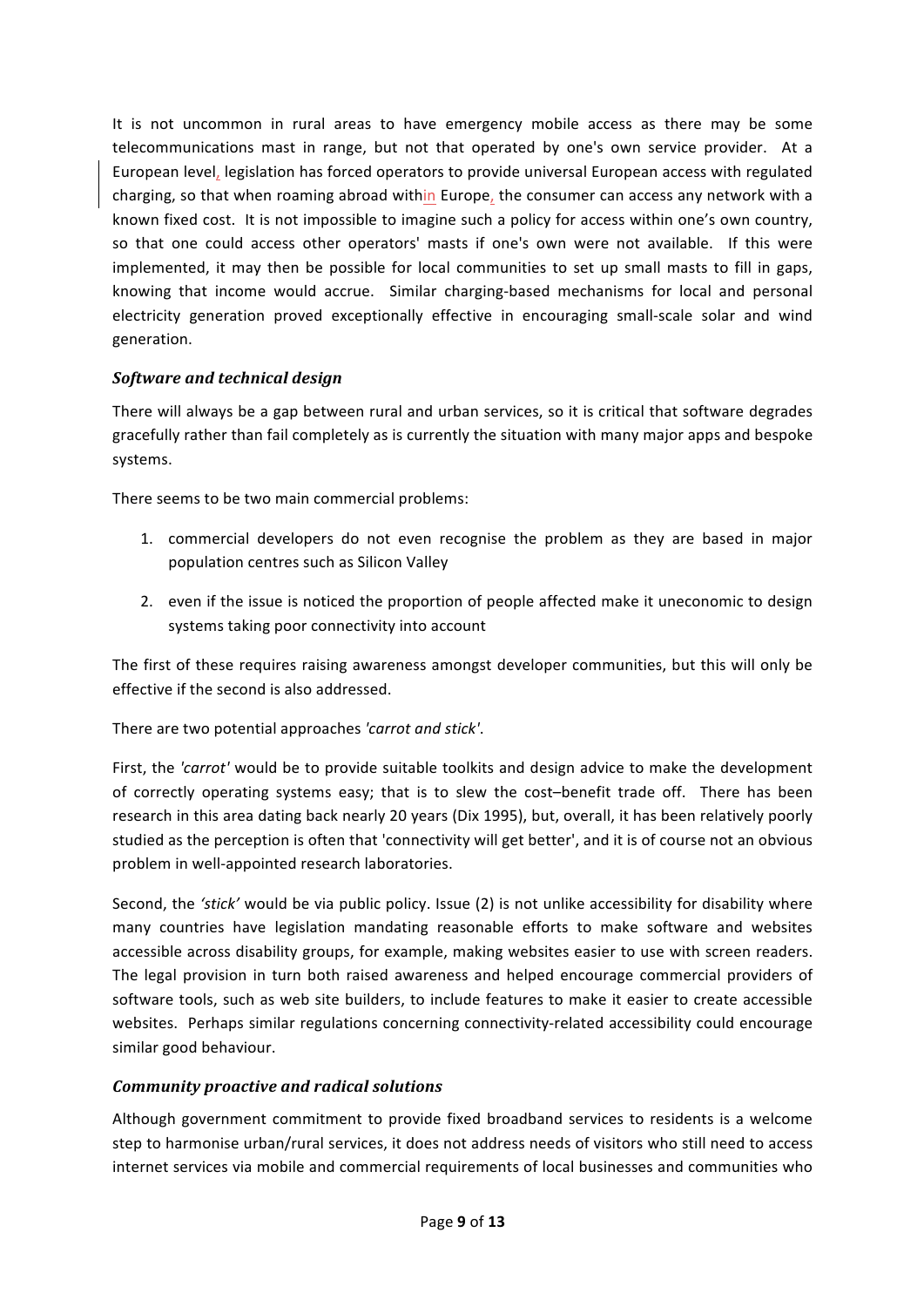It is not uncommon in rural areas to have emergency mobile access as there may be some telecommunications mast in range, but not that operated by one's own service provider. At a European level, legislation has forced operators to provide universal European access with regulated charging, so that when roaming abroad within Europe, the consumer can access any network with a known fixed cost. It is not impossible to imagine such a policy for access within one's own country, so that one could access other operators' masts if one's own were not available. If this were implemented, it may then be possible for local communities to set up small masts to fill in gaps, knowing that income would accrue. Similar charging-based mechanisms for local and personal electricity generation proved exceptionally effective in encouraging small-scale solar and wind generation.

#### *Software and technical design*

There will always be a gap between rural and urban services, so it is critical that software degrades gracefully rather than fail completely as is currently the situation with many major apps and bespoke systems.

There seems to be two main commercial problems:

- 1. commercial developers do not even recognise the problem as they are based in major population centres such as Silicon Valley
- 2. even if the issue is noticed the proportion of people affected make it uneconomic to design systems taking poor connectivity into account

The first of these requires raising awareness amongst developer communities, but this will only be effective if the second is also addressed.

There are two potential approaches 'carrot and stick'.

First, the *'carrot'* would be to provide suitable toolkits and design advice to make the development of correctly operating systems easy; that is to slew the cost–benefit trade off. There has been research in this area dating back nearly 20 years (Dix 1995), but, overall, it has been relatively poorly studied as the perception is often that 'connectivity will get better', and it is of course not an obvious problem in well-appointed research laboratories.

Second, the 'stick' would be via public policy. Issue (2) is not unlike accessibility for disability where many countries have legislation mandating reasonable efforts to make software and websites accessible across disability groups, for example, making websites easier to use with screen readers. The legal provision in turn both raised awareness and helped encourage commercial providers of software tools, such as web site builders, to include features to make it easier to create accessible websites. Perhaps similar regulations concerning connectivity-related accessibility could encourage similar good behaviour.

#### *Community proactive and radical solutions*

Although government commitment to provide fixed broadband services to residents is a welcome step to harmonise urban/rural services, it does not address needs of visitors who still need to access internet services via mobile and commercial requirements of local businesses and communities who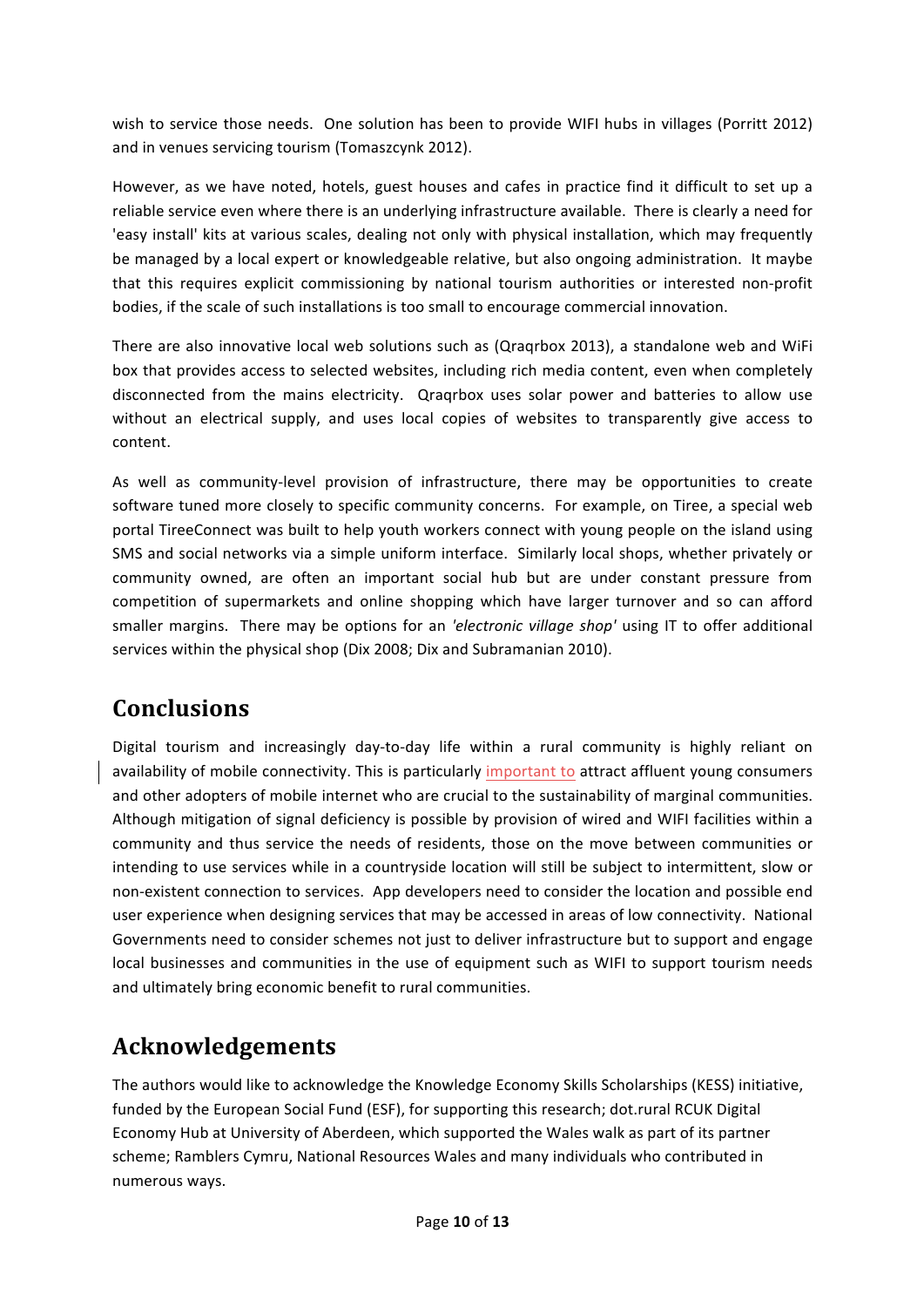wish to service those needs. One solution has been to provide WIFI hubs in villages (Porritt 2012) and in venues servicing tourism (Tomaszcynk 2012).

However, as we have noted, hotels, guest houses and cafes in practice find it difficult to set up a reliable service even where there is an underlying infrastructure available. There is clearly a need for 'easy install' kits at various scales, dealing not only with physical installation, which may frequently be managed by a local expert or knowledgeable relative, but also ongoing administration. It maybe that this requires explicit commissioning by national tourism authorities or interested non-profit bodies, if the scale of such installations is too small to encourage commercial innovation.

There are also innovative local web solutions such as (Qraqrbox 2013), a standalone web and WiFi box that provides access to selected websites, including rich media content, even when completely disconnected from the mains electricity. Qraqrbox uses solar power and batteries to allow use without an electrical supply, and uses local copies of websites to transparently give access to content.

As well as community-level provision of infrastructure, there may be opportunities to create software tuned more closely to specific community concerns. For example, on Tiree, a special web portal TireeConnect was built to help youth workers connect with young people on the island using SMS and social networks via a simple uniform interface. Similarly local shops, whether privately or community owned, are often an important social hub but are under constant pressure from competition of supermarkets and online shopping which have larger turnover and so can afford smaller margins. There may be options for an *'electronic village shop'* using IT to offer additional services within the physical shop (Dix 2008; Dix and Subramanian 2010).

# **Conclusions**

Digital tourism and increasingly day-to-day life within a rural community is highly reliant on availability of mobile connectivity. This is particularly important to attract affluent young consumers and other adopters of mobile internet who are crucial to the sustainability of marginal communities. Although mitigation of signal deficiency is possible by provision of wired and WIFI facilities within a community and thus service the needs of residents, those on the move between communities or intending to use services while in a countryside location will still be subject to intermittent, slow or non-existent connection to services. App developers need to consider the location and possible end user experience when designing services that may be accessed in areas of low connectivity. National Governments need to consider schemes not just to deliver infrastructure but to support and engage local businesses and communities in the use of equipment such as WIFI to support tourism needs and ultimately bring economic benefit to rural communities.

# **Acknowledgements**

The authors would like to acknowledge the Knowledge Economy Skills Scholarships (KESS) initiative, funded by the European Social Fund (ESF), for supporting this research; dot.rural RCUK Digital Economy Hub at University of Aberdeen, which supported the Wales walk as part of its partner scheme; Ramblers Cymru, National Resources Wales and many individuals who contributed in numerous ways.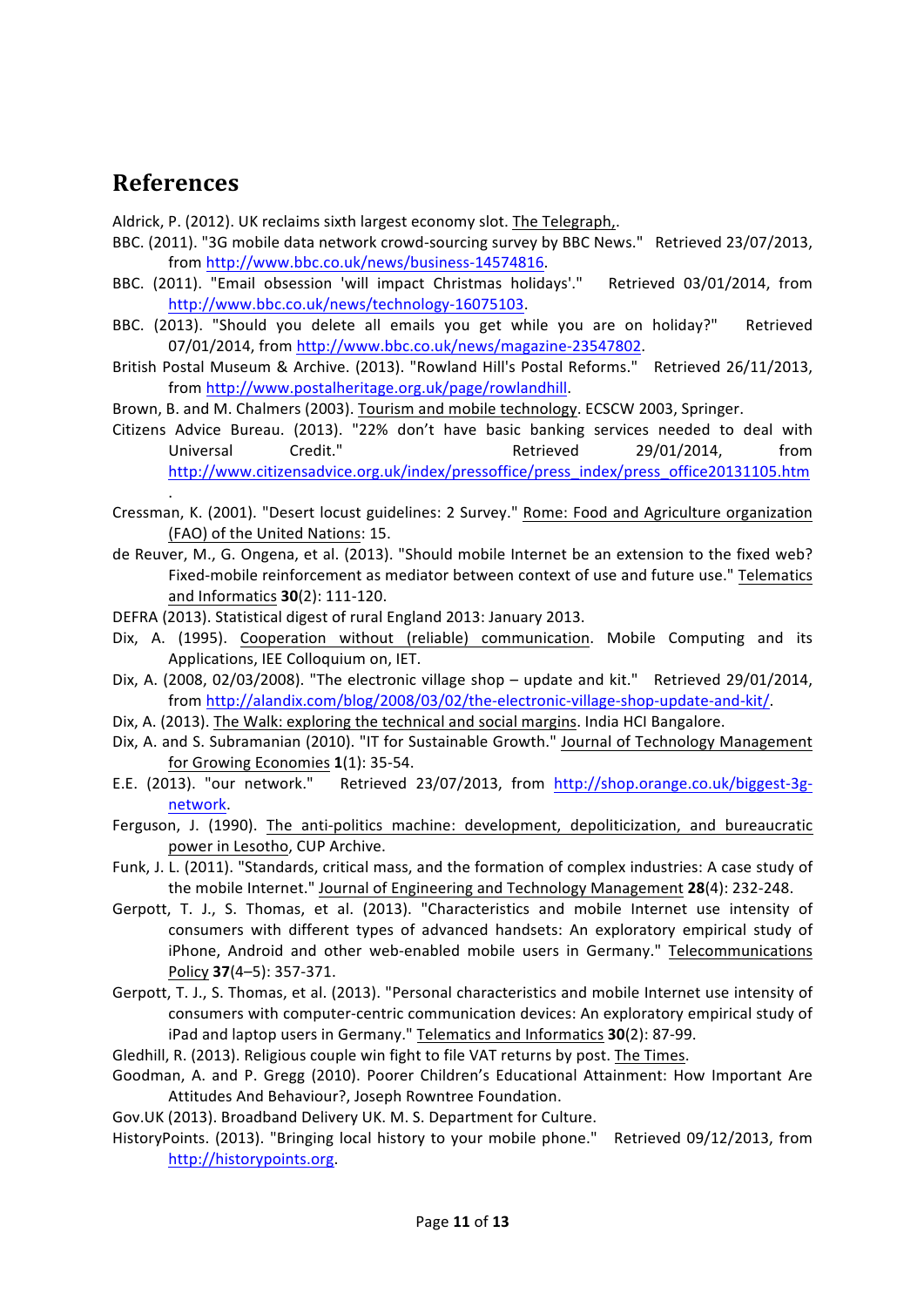## **References**

Aldrick, P. (2012). UK reclaims sixth largest economy slot. The Telegraph,.

- BBC. (2011). "3G mobile data network crowd-sourcing survey by BBC News." Retrieved 23/07/2013, from http://www.bbc.co.uk/news/business-14574816.
- BBC. (2011). "Email obsession 'will impact Christmas holidays'." Retrieved 03/01/2014, from http://www.bbc.co.uk/news/technology-16075103.
- BBC. (2013). "Should you delete all emails you get while you are on holiday?" Retrieved 07/01/2014, from http://www.bbc.co.uk/news/magazine-23547802.
- British Postal Museum & Archive. (2013). "Rowland Hill's Postal Reforms." Retrieved 26/11/2013, from http://www.postalheritage.org.uk/page/rowlandhill.
- Brown, B. and M. Chalmers (2003). Tourism and mobile technology. ECSCW 2003, Springer.
- Citizens Advice Bureau. (2013). "22% don't have basic banking services needed to deal with Universal Credit." Retrieved 29/01/2014, from http://www.citizensadvice.org.uk/index/pressoffice/press\_index/press\_office20131105.htm .
- Cressman, K. (2001). "Desert locust guidelines: 2 Survey." Rome: Food and Agriculture organization (FAO) of the United Nations: 15.
- de Reuver, M., G. Ongena, et al. (2013). "Should mobile Internet be an extension to the fixed web? Fixed-mobile reinforcement as mediator between context of use and future use." Telematics and Informatics **30**(2): 111-120.
- DEFRA (2013). Statistical digest of rural England 2013: January 2013.
- Dix, A. (1995). Cooperation without (reliable) communication. Mobile Computing and its Applications, IEE Colloquium on, IET.
- Dix, A. (2008, 02/03/2008). "The electronic village shop update and kit." Retrieved 29/01/2014, from http://alandix.com/blog/2008/03/02/the-electronic-village-shop-update-and-kit/.
- Dix, A. (2013). The Walk: exploring the technical and social margins. India HCI Bangalore.
- Dix, A. and S. Subramanian (2010). "IT for Sustainable Growth." Journal of Technology Management for Growing Economies 1(1): 35-54.
- E.E. (2013). "our network." Retrieved 23/07/2013, from http://shop.orange.co.uk/biggest-3gnetwork.
- Ferguson, J. (1990). The anti-politics machine: development, depoliticization, and bureaucratic power in Lesotho, CUP Archive.
- Funk, J. L. (2011). "Standards, critical mass, and the formation of complex industries: A case study of the mobile Internet." Journal of Engineering and Technology Management 28(4): 232-248.
- Gerpott, T. J., S. Thomas, et al. (2013). "Characteristics and mobile Internet use intensity of consumers with different types of advanced handsets: An exploratory empirical study of iPhone, Android and other web-enabled mobile users in Germany." Telecommunications Policy **37**(4–5): 357-371.
- Gerpott, T. J., S. Thomas, et al. (2013). "Personal characteristics and mobile Internet use intensity of consumers with computer-centric communication devices: An exploratory empirical study of iPad and laptop users in Germany." Telematics and Informatics **30**(2): 87-99.
- Gledhill, R. (2013). Religious couple win fight to file VAT returns by post. The Times.
- Goodman, A. and P. Gregg (2010). Poorer Children's Educational Attainment: How Important Are Attitudes And Behaviour?, Joseph Rowntree Foundation.
- Gov.UK (2013). Broadband Delivery UK. M. S. Department for Culture.
- HistoryPoints. (2013). "Bringing local history to your mobile phone." Retrieved 09/12/2013, from http://historypoints.org.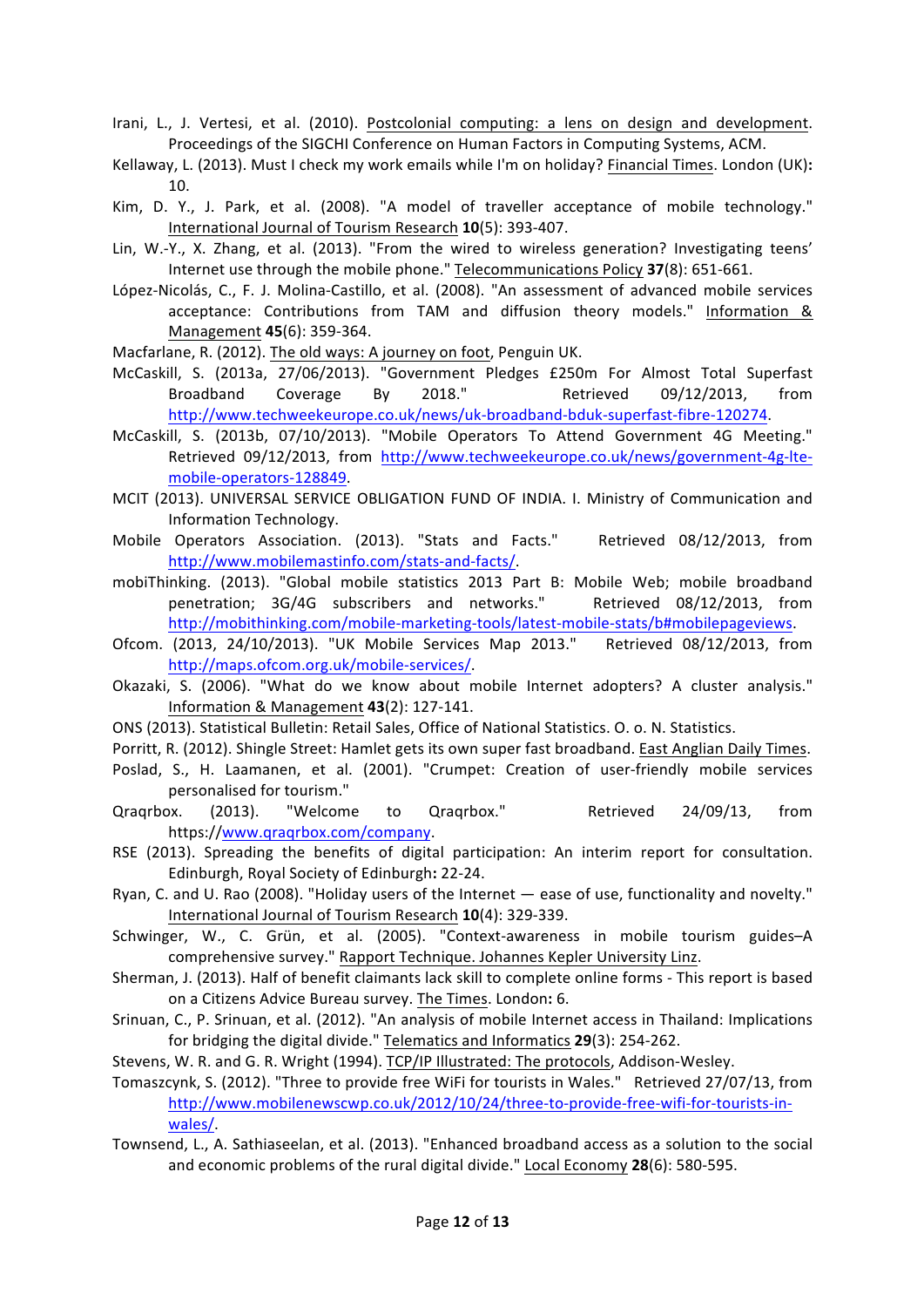- Irani, L., J. Vertesi, et al. (2010). Postcolonial computing: a lens on design and development. Proceedings of the SIGCHI Conference on Human Factors in Computing Systems, ACM.
- Kellaway, L. (2013). Must I check my work emails while I'm on holiday? Financial Times. London (UK): 10.
- Kim, D. Y., J. Park, et al. (2008). "A model of traveller acceptance of mobile technology." International Journal of Tourism Research 10(5): 393-407.
- Lin, W.-Y., X. Zhang, et al. (2013). "From the wired to wireless generation? Investigating teens' Internet use through the mobile phone." Telecommunications Policy 37(8): 651-661.
- López-Nicolás, C., F. J. Molina-Castillo, et al. (2008). "An assessment of advanced mobile services acceptance: Contributions from TAM and diffusion theory models." Information & Management **45**(6): 359-364.
- Macfarlane, R. (2012). The old ways: A journey on foot, Penguin UK.
- McCaskill, S. (2013a, 27/06/2013). "Government Pledges £250m For Almost Total Superfast Broadband Coverage By 2018." Retrieved 09/12/2013, from http://www.techweekeurope.co.uk/news/uk-broadband-bduk-superfast-fibre-120274.
- McCaskill, S. (2013b, 07/10/2013). "Mobile Operators To Attend Government 4G Meeting." Retrieved 09/12/2013, from http://www.techweekeurope.co.uk/news/government-4g-ltemobile-operators-128849.
- MCIT (2013). UNIVERSAL SERVICE OBLIGATION FUND OF INDIA. I. Ministry of Communication and Information Technology.
- Mobile Operators Association. (2013). "Stats and Facts." Retrieved 08/12/2013, from http://www.mobilemastinfo.com/stats-and-facts/.
- mobiThinking. (2013). "Global mobile statistics 2013 Part B: Mobile Web; mobile broadband penetration; 3G/4G subscribers and networks." Retrieved 08/12/2013, from http://mobithinking.com/mobile-marketing-tools/latest-mobile-stats/b#mobilepageviews.
- Ofcom. (2013, 24/10/2013). "UK Mobile Services Map 2013." Retrieved 08/12/2013, from http://maps.ofcom.org.uk/mobile-services/.
- Okazaki, S. (2006). "What do we know about mobile Internet adopters? A cluster analysis." Information & Management **43**(2): 127-141.
- ONS (2013). Statistical Bulletin: Retail Sales, Office of National Statistics. O. o. N. Statistics.
- Porritt, R. (2012). Shingle Street: Hamlet gets its own super fast broadband. East Anglian Daily Times.
- Poslad, S., H. Laamanen, et al. (2001). "Crumpet: Creation of user-friendly mobile services personalised for tourism."
- Qraqrbox. (2013). "Welcome to Qraqrbox." Retrieved 24/09/13, from https://www.qraqrbox.com/company.
- RSE (2013). Spreading the benefits of digital participation: An interim report for consultation. Edinburgh, Royal Society of Edinburgh**:** 22-24.
- Ryan, C. and U. Rao (2008). "Holiday users of the Internet ease of use, functionality and novelty." International Journal of Tourism Research **10**(4): 329-339.
- Schwinger, W., C. Grün, et al. (2005). "Context-awareness in mobile tourism guides-A comprehensive survey." Rapport Technique. Johannes Kepler University Linz.
- Sherman, J. (2013). Half of benefit claimants lack skill to complete online forms This report is based on a Citizens Advice Bureau survey. The Times. London: 6.
- Srinuan, C., P. Srinuan, et al. (2012). "An analysis of mobile Internet access in Thailand: Implications for bridging the digital divide." Telematics and Informatics 29(3): 254-262.

Stevens, W. R. and G. R. Wright (1994). TCP/IP Illustrated: The protocols, Addison-Wesley.

- Tomaszcynk, S. (2012). "Three to provide free WiFi for tourists in Wales." Retrieved 27/07/13, from http://www.mobilenewscwp.co.uk/2012/10/24/three-to-provide-free-wifi-for-tourists-inwales/.
- Townsend, L., A. Sathiaseelan, et al. (2013). "Enhanced broadband access as a solution to the social and economic problems of the rural digital divide." Local Economy 28(6): 580-595.